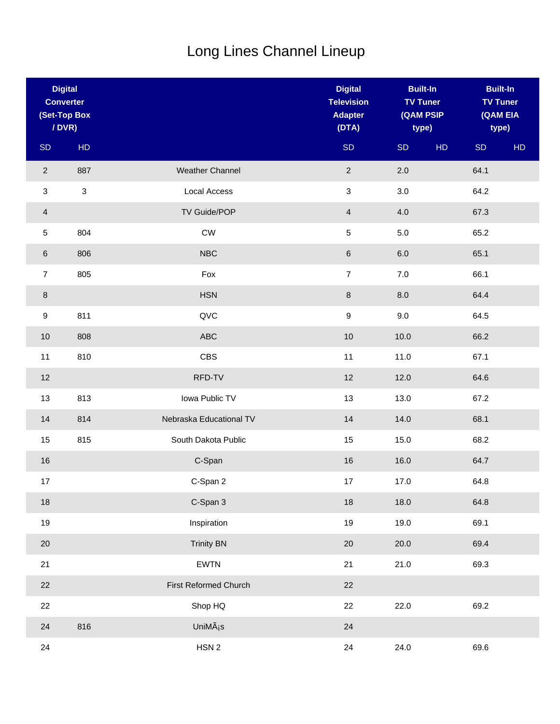## Long Lines Channel Lineup

| <b>Digital</b><br><b>Converter</b><br>(Set-Top Box<br>/ DVR) |            |                         | <b>Digital</b><br><b>Television</b><br><b>Adapter</b><br>(DTA) | <b>Built-In</b><br><b>TV Tuner</b><br>(QAM PSIP<br>type) |    | <b>Built-In</b> | <b>TV Tuner</b><br>(QAM EIA<br>type) |
|--------------------------------------------------------------|------------|-------------------------|----------------------------------------------------------------|----------------------------------------------------------|----|-----------------|--------------------------------------|
| SD                                                           | HD         |                         | <b>SD</b>                                                      | SD                                                       | HD | <b>SD</b>       | HD                                   |
| $\overline{c}$                                               | 887        | <b>Weather Channel</b>  | $\overline{2}$                                                 | 2.0                                                      |    | 64.1            |                                      |
| 3                                                            | $\sqrt{3}$ | Local Access            | $\mathfrak{S}$                                                 | 3.0                                                      |    | 64.2            |                                      |
| 4                                                            |            | TV Guide/POP            | $\overline{4}$                                                 | 4.0                                                      |    | 67.3            |                                      |
| 5                                                            | 804        | ${\sf\small CW}$        | 5                                                              | $5.0\,$                                                  |    | 65.2            |                                      |
| 6                                                            | 806        | <b>NBC</b>              | $\,6\,$                                                        | $6.0\,$                                                  |    | 65.1            |                                      |
| $\overline{7}$                                               | 805        | Fox                     | $\overline{7}$                                                 | $7.0\,$                                                  |    | 66.1            |                                      |
| 8                                                            |            | <b>HSN</b>              | $\bf 8$                                                        | $8.0\,$                                                  |    | 64.4            |                                      |
| $\boldsymbol{9}$                                             | 811        | QVC                     | $\boldsymbol{9}$                                               | 9.0                                                      |    | 64.5            |                                      |
| 10                                                           | 808        | ABC                     | $10$                                                           | 10.0                                                     |    | 66.2            |                                      |
| 11                                                           | 810        | <b>CBS</b>              | 11                                                             | 11.0                                                     |    | 67.1            |                                      |
| 12                                                           |            | RFD-TV                  | 12                                                             | 12.0                                                     |    | 64.6            |                                      |
| 13                                                           | 813        | Iowa Public TV          | 13                                                             | 13.0                                                     |    | 67.2            |                                      |
| 14                                                           | 814        | Nebraska Educational TV | 14                                                             | 14.0                                                     |    | 68.1            |                                      |
| 15                                                           | 815        | South Dakota Public     | 15                                                             | 15.0                                                     |    | 68.2            |                                      |
| 16                                                           |            | C-Span                  | 16                                                             | 16.0                                                     |    | 64.7            |                                      |
| 17                                                           |            | C-Span 2                | 17                                                             | 17.0                                                     |    | 64.8            |                                      |
| 18                                                           |            | C-Span 3                | 18                                                             | 18.0                                                     |    | 64.8            |                                      |
| 19                                                           |            | Inspiration             | 19                                                             | 19.0                                                     |    | 69.1            |                                      |
| 20                                                           |            | <b>Trinity BN</b>       | 20                                                             | 20.0                                                     |    | 69.4            |                                      |
| 21                                                           |            | <b>EWTN</b>             | 21                                                             | 21.0                                                     |    | 69.3            |                                      |
| 22                                                           |            | First Reformed Church   | 22                                                             |                                                          |    |                 |                                      |
| 22                                                           |            | Shop HQ                 | 22                                                             | 22.0                                                     |    | 69.2            |                                      |
| 24                                                           | 816        | UniMás                  | 24                                                             |                                                          |    |                 |                                      |
| 24                                                           |            | HSN 2                   | 24                                                             | 24.0                                                     |    | 69.6            |                                      |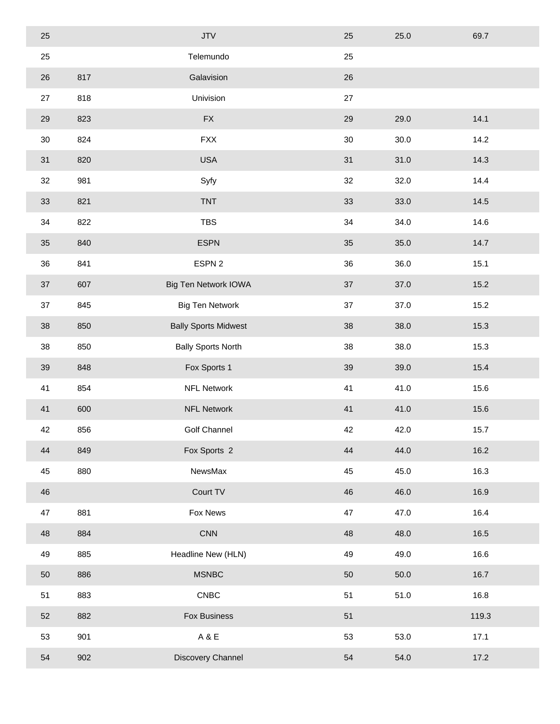| 25 |     | <b>JTV</b>                  | 25 | 25.0 | 69.7  |
|----|-----|-----------------------------|----|------|-------|
| 25 |     | Telemundo                   | 25 |      |       |
| 26 | 817 | Galavision                  | 26 |      |       |
| 27 | 818 | Univision                   | 27 |      |       |
| 29 | 823 | ${\sf FX}$                  | 29 | 29.0 | 14.1  |
| 30 | 824 | <b>FXX</b>                  | 30 | 30.0 | 14.2  |
| 31 | 820 | <b>USA</b>                  | 31 | 31.0 | 14.3  |
| 32 | 981 | Syfy                        | 32 | 32.0 | 14.4  |
| 33 | 821 | <b>TNT</b>                  | 33 | 33.0 | 14.5  |
| 34 | 822 | <b>TBS</b>                  | 34 | 34.0 | 14.6  |
| 35 | 840 | <b>ESPN</b>                 | 35 | 35.0 | 14.7  |
| 36 | 841 | ESPN 2                      | 36 | 36.0 | 15.1  |
| 37 | 607 | <b>Big Ten Network IOWA</b> | 37 | 37.0 | 15.2  |
| 37 | 845 | <b>Big Ten Network</b>      | 37 | 37.0 | 15.2  |
| 38 | 850 | <b>Bally Sports Midwest</b> | 38 | 38.0 | 15.3  |
| 38 | 850 | <b>Bally Sports North</b>   | 38 | 38.0 | 15.3  |
| 39 | 848 | Fox Sports 1                | 39 | 39.0 | 15.4  |
| 41 | 854 | <b>NFL Network</b>          | 41 | 41.0 | 15.6  |
| 41 | 600 | <b>NFL Network</b>          | 41 | 41.0 | 15.6  |
| 42 | 856 | <b>Golf Channel</b>         | 42 | 42.0 | 15.7  |
| 44 | 849 | Fox Sports 2                | 44 | 44.0 | 16.2  |
| 45 | 880 | NewsMax                     | 45 | 45.0 | 16.3  |
| 46 |     | Court TV                    | 46 | 46.0 | 16.9  |
| 47 | 881 | Fox News                    | 47 | 47.0 | 16.4  |
| 48 | 884 | <b>CNN</b>                  | 48 | 48.0 | 16.5  |
| 49 | 885 | Headline New (HLN)          | 49 | 49.0 | 16.6  |
| 50 | 886 | <b>MSNBC</b>                | 50 | 50.0 | 16.7  |
| 51 | 883 | <b>CNBC</b>                 | 51 | 51.0 | 16.8  |
| 52 | 882 | Fox Business                | 51 |      | 119.3 |
| 53 | 901 | A&E                         | 53 | 53.0 | 17.1  |
| 54 | 902 | Discovery Channel           | 54 | 54.0 | 17.2  |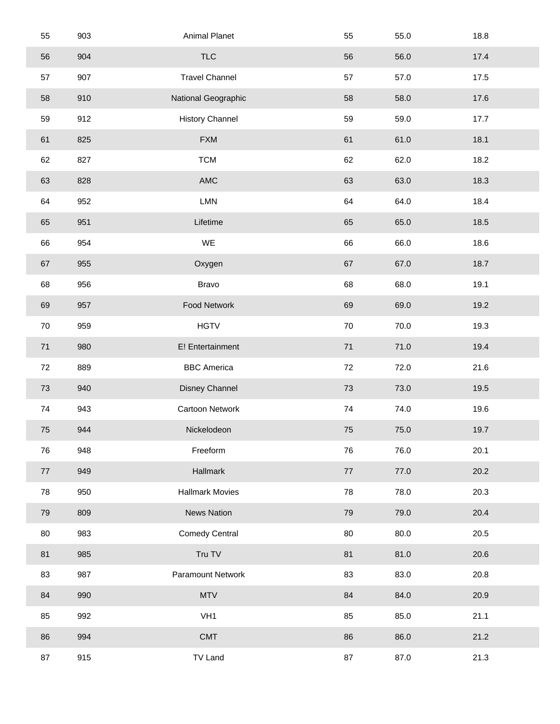| 55     | 903 | Animal Planet          | 55     | 55.0 | 18.8 |
|--------|-----|------------------------|--------|------|------|
| 56     | 904 | <b>TLC</b>             | 56     | 56.0 | 17.4 |
| 57     | 907 | <b>Travel Channel</b>  | 57     | 57.0 | 17.5 |
| 58     | 910 | National Geographic    | 58     | 58.0 | 17.6 |
| 59     | 912 | <b>History Channel</b> | 59     | 59.0 | 17.7 |
| 61     | 825 | <b>FXM</b>             | 61     | 61.0 | 18.1 |
| 62     | 827 | <b>TCM</b>             | 62     | 62.0 | 18.2 |
| 63     | 828 | $\mathsf{AMC}$         | 63     | 63.0 | 18.3 |
| 64     | 952 | <b>LMN</b>             | 64     | 64.0 | 18.4 |
| 65     | 951 | Lifetime               | 65     | 65.0 | 18.5 |
| 66     | 954 | WE                     | 66     | 66.0 | 18.6 |
| 67     | 955 | Oxygen                 | 67     | 67.0 | 18.7 |
| 68     | 956 | Bravo                  | 68     | 68.0 | 19.1 |
| 69     | 957 | Food Network           | 69     | 69.0 | 19.2 |
| $70\,$ | 959 | <b>HGTV</b>            | 70     | 70.0 | 19.3 |
| $71$   | 980 | E! Entertainment       | 71     | 71.0 | 19.4 |
| 72     | 889 | <b>BBC</b> America     | 72     | 72.0 | 21.6 |
| 73     | 940 | Disney Channel         | 73     | 73.0 | 19.5 |
| 74     | 943 | Cartoon Network        | 74     | 74.0 | 19.6 |
| 75     | 944 | Nickelodeon            | 75     | 75.0 | 19.7 |
| 76     | 948 | Freeform               | 76     | 76.0 | 20.1 |
| 77     | 949 | Hallmark               | $77\,$ | 77.0 | 20.2 |
| 78     | 950 | <b>Hallmark Movies</b> | 78     | 78.0 | 20.3 |
| 79     | 809 | <b>News Nation</b>     | 79     | 79.0 | 20.4 |
| 80     | 983 | <b>Comedy Central</b>  | 80     | 80.0 | 20.5 |
| 81     | 985 | Tru TV                 | 81     | 81.0 | 20.6 |
| 83     | 987 | Paramount Network      | 83     | 83.0 | 20.8 |
| 84     | 990 | <b>MTV</b>             | 84     | 84.0 | 20.9 |
| 85     | 992 | VH <sub>1</sub>        | 85     | 85.0 | 21.1 |
| 86     | 994 | <b>CMT</b>             | 86     | 86.0 | 21.2 |
| 87     | 915 | <b>TV Land</b>         | 87     | 87.0 | 21.3 |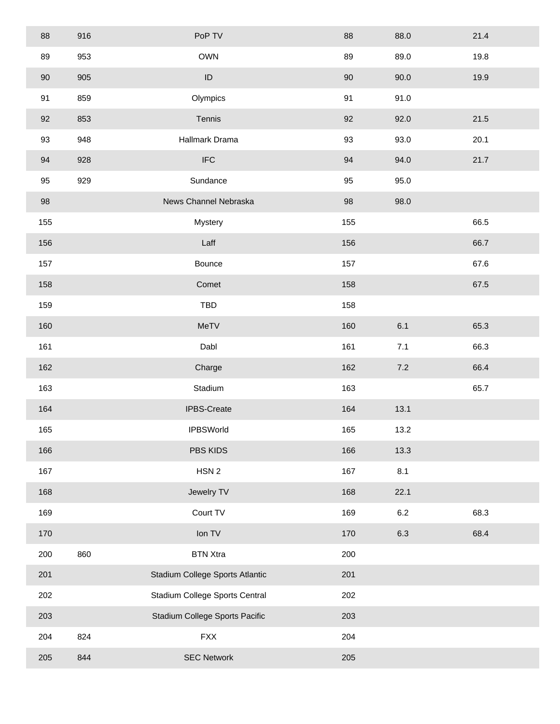| 88  | 916 | PoP TV                          | 88     | 88.0    | 21.4 |  |
|-----|-----|---------------------------------|--------|---------|------|--|
| 89  | 953 | <b>OWN</b>                      | 89     | 89.0    | 19.8 |  |
| 90  | 905 | $\sf ID$                        | $90\,$ | 90.0    | 19.9 |  |
| 91  | 859 | Olympics                        | 91     | 91.0    |      |  |
| 92  | 853 | Tennis                          | 92     | 92.0    | 21.5 |  |
| 93  | 948 | Hallmark Drama                  | 93     | 93.0    | 20.1 |  |
| 94  | 928 | $\ensuremath{\mathsf{IFC}}$     | 94     | 94.0    | 21.7 |  |
| 95  | 929 | Sundance                        | 95     | 95.0    |      |  |
| 98  |     | News Channel Nebraska           | 98     | 98.0    |      |  |
| 155 |     | Mystery                         | 155    |         | 66.5 |  |
| 156 |     | Laff                            | 156    |         | 66.7 |  |
| 157 |     | Bounce                          | 157    |         | 67.6 |  |
| 158 |     | Comet                           | 158    |         | 67.5 |  |
| 159 |     | <b>TBD</b>                      | 158    |         |      |  |
| 160 |     | MeTV                            | 160    | 6.1     | 65.3 |  |
| 161 |     | Dabl                            | 161    | 7.1     | 66.3 |  |
| 162 |     | Charge                          | 162    | $7.2\,$ | 66.4 |  |
| 163 |     | Stadium                         | 163    |         | 65.7 |  |
| 164 |     | IPBS-Create                     | 164    | 13.1    |      |  |
| 165 |     | <b>IPBSWorld</b>                | 165    | 13.2    |      |  |
| 166 |     | PBS KIDS                        | 166    | 13.3    |      |  |
| 167 |     | HSN <sub>2</sub>                | 167    | 8.1     |      |  |
| 168 |     | Jewelry TV                      | 168    | 22.1    |      |  |
| 169 |     | Court TV                        | 169    | $6.2\,$ | 68.3 |  |
| 170 |     | Ion TV                          | 170    | 6.3     | 68.4 |  |
| 200 | 860 | <b>BTN Xtra</b>                 | 200    |         |      |  |
| 201 |     | Stadium College Sports Atlantic | 201    |         |      |  |
| 202 |     | Stadium College Sports Central  | 202    |         |      |  |
| 203 |     | Stadium College Sports Pacific  | 203    |         |      |  |
| 204 | 824 | <b>FXX</b>                      | 204    |         |      |  |
| 205 | 844 | <b>SEC Network</b>              | 205    |         |      |  |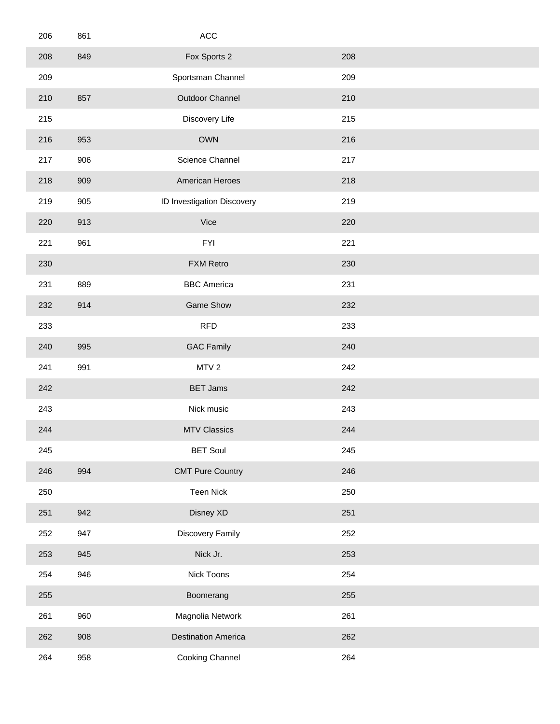| 206 | 861 | $\mathsf{ACC}$             |     |  |
|-----|-----|----------------------------|-----|--|
| 208 | 849 | Fox Sports 2               | 208 |  |
| 209 |     | Sportsman Channel          | 209 |  |
| 210 | 857 | Outdoor Channel            | 210 |  |
| 215 |     | Discovery Life             | 215 |  |
| 216 | 953 | <b>OWN</b>                 | 216 |  |
| 217 | 906 | Science Channel            | 217 |  |
| 218 | 909 | American Heroes            | 218 |  |
| 219 | 905 | ID Investigation Discovery | 219 |  |
| 220 | 913 | Vice                       | 220 |  |
| 221 | 961 | <b>FYI</b>                 | 221 |  |
| 230 |     | <b>FXM Retro</b>           | 230 |  |
| 231 | 889 | <b>BBC</b> America         | 231 |  |
| 232 | 914 | <b>Game Show</b>           | 232 |  |
| 233 |     | RFD                        | 233 |  |
| 240 | 995 | <b>GAC Family</b>          | 240 |  |
| 241 | 991 | MTV <sub>2</sub>           | 242 |  |
| 242 |     | <b>BET Jams</b>            | 242 |  |
| 243 |     | Nick music                 | 243 |  |
| 244 |     | <b>MTV Classics</b>        | 244 |  |
| 245 |     | <b>BET Soul</b>            | 245 |  |
| 246 | 994 | <b>CMT Pure Country</b>    | 246 |  |
| 250 |     | Teen Nick                  | 250 |  |
| 251 | 942 | Disney XD                  | 251 |  |
| 252 | 947 | Discovery Family           | 252 |  |
| 253 | 945 | Nick Jr.                   | 253 |  |
| 254 | 946 | Nick Toons                 | 254 |  |
| 255 |     | Boomerang                  | 255 |  |
| 261 | 960 | Magnolia Network           | 261 |  |
| 262 | 908 | <b>Destination America</b> | 262 |  |
| 264 | 958 | Cooking Channel            | 264 |  |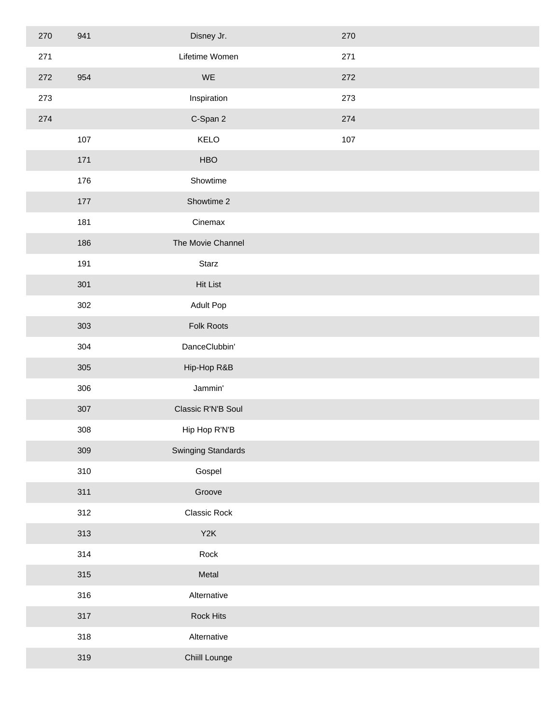| 270 | 941 | Disney Jr.                | 270 |  |
|-----|-----|---------------------------|-----|--|
| 271 |     | Lifetime Women            | 271 |  |
| 272 | 954 | WE                        | 272 |  |
| 273 |     | Inspiration               | 273 |  |
| 274 |     | C-Span 2                  | 274 |  |
|     | 107 | KELO                      | 107 |  |
|     | 171 | <b>HBO</b>                |     |  |
|     | 176 | Showtime                  |     |  |
|     | 177 | Showtime 2                |     |  |
|     | 181 | Cinemax                   |     |  |
|     | 186 | The Movie Channel         |     |  |
|     | 191 | Starz                     |     |  |
|     | 301 | <b>Hit List</b>           |     |  |
|     | 302 | Adult Pop                 |     |  |
|     | 303 | Folk Roots                |     |  |
|     | 304 | DanceClubbin'             |     |  |
|     | 305 | Hip-Hop R&B               |     |  |
|     | 306 | Jammin'                   |     |  |
|     | 307 | Classic R'N'B Soul        |     |  |
|     | 308 | Hip Hop R'N'B             |     |  |
|     | 309 | <b>Swinging Standards</b> |     |  |
|     | 310 | Gospel                    |     |  |
|     | 311 | Groove                    |     |  |
|     | 312 | Classic Rock              |     |  |
|     | 313 | Y <sub>2</sub> K          |     |  |
|     | 314 | Rock                      |     |  |
|     | 315 | Metal                     |     |  |
|     | 316 | Alternative               |     |  |
|     | 317 | Rock Hits                 |     |  |
|     | 318 | Alternative               |     |  |
|     | 319 | Chiill Lounge             |     |  |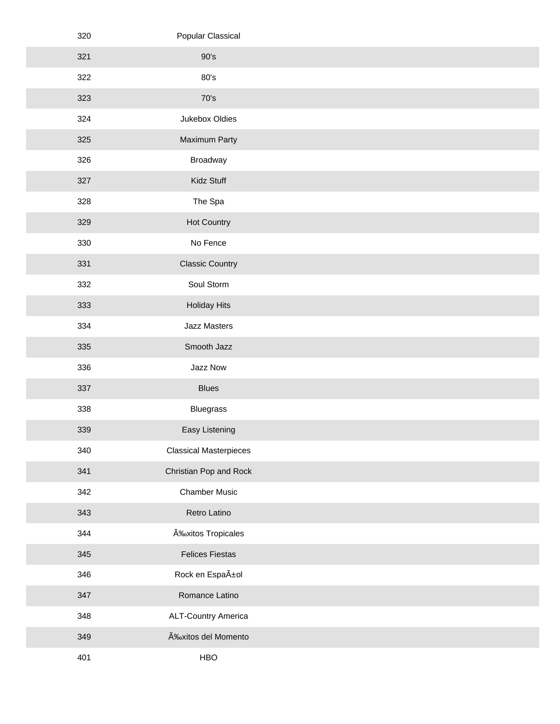| 320 | Popular Classical             |  |
|-----|-------------------------------|--|
| 321 | 90's                          |  |
| 322 | 80's                          |  |
| 323 | 70's                          |  |
| 324 | Jukebox Oldies                |  |
| 325 | Maximum Party                 |  |
| 326 | Broadway                      |  |
| 327 | Kidz Stuff                    |  |
| 328 | The Spa                       |  |
| 329 | Hot Country                   |  |
| 330 | No Fence                      |  |
| 331 | <b>Classic Country</b>        |  |
| 332 | Soul Storm                    |  |
| 333 | <b>Holiday Hits</b>           |  |
| 334 | Jazz Masters                  |  |
| 335 | Smooth Jazz                   |  |
| 336 | Jazz Now                      |  |
| 337 | <b>Blues</b>                  |  |
| 338 | Bluegrass                     |  |
| 339 | Easy Listening                |  |
| 340 | <b>Classical Masterpieces</b> |  |
| 341 | Christian Pop and Rock        |  |
| 342 | <b>Chamber Music</b>          |  |
| 343 | Retro Latino                  |  |
| 344 | Éxitos Tropicales             |  |
| 345 | <b>Felices Fiestas</b>        |  |
| 346 | Rock en Español               |  |
| 347 | Romance Latino                |  |
| 348 | <b>ALT-Country America</b>    |  |
| 349 | Éxitos del Momento            |  |
| 401 | HBO                           |  |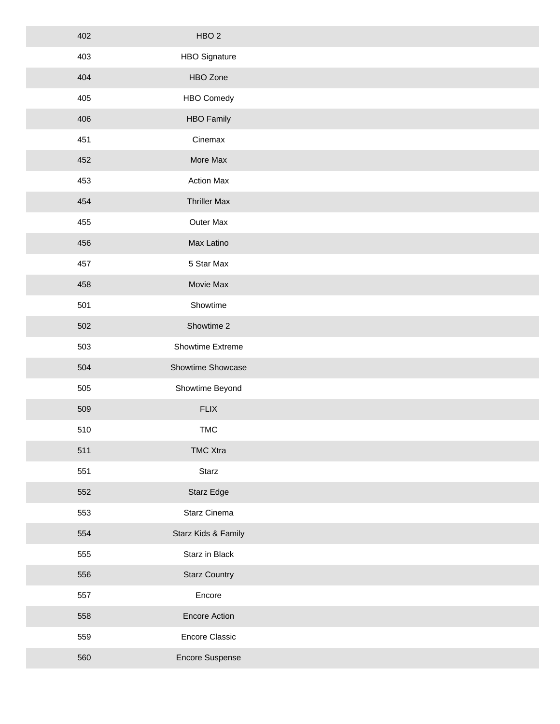| 402 | HBO <sub>2</sub>     |  |
|-----|----------------------|--|
| 403 | <b>HBO Signature</b> |  |
| 404 | HBO Zone             |  |
| 405 | <b>HBO Comedy</b>    |  |
| 406 | <b>HBO Family</b>    |  |
| 451 | Cinemax              |  |
| 452 | More Max             |  |
| 453 | <b>Action Max</b>    |  |
| 454 | <b>Thriller Max</b>  |  |
| 455 | Outer Max            |  |
| 456 | Max Latino           |  |
| 457 | 5 Star Max           |  |
| 458 | Movie Max            |  |
| 501 | Showtime             |  |
| 502 | Showtime 2           |  |
| 503 | Showtime Extreme     |  |
| 504 | Showtime Showcase    |  |
| 505 | Showtime Beyond      |  |
| 509 | FLIX                 |  |
| 510 | <b>TMC</b>           |  |
| 511 | <b>TMC Xtra</b>      |  |
| 551 | Starz                |  |
| 552 | Starz Edge           |  |
| 553 | Starz Cinema         |  |
| 554 | Starz Kids & Family  |  |
| 555 | Starz in Black       |  |
| 556 | <b>Starz Country</b> |  |
| 557 | Encore               |  |
| 558 | <b>Encore Action</b> |  |
| 559 | Encore Classic       |  |
| 560 | Encore Suspense      |  |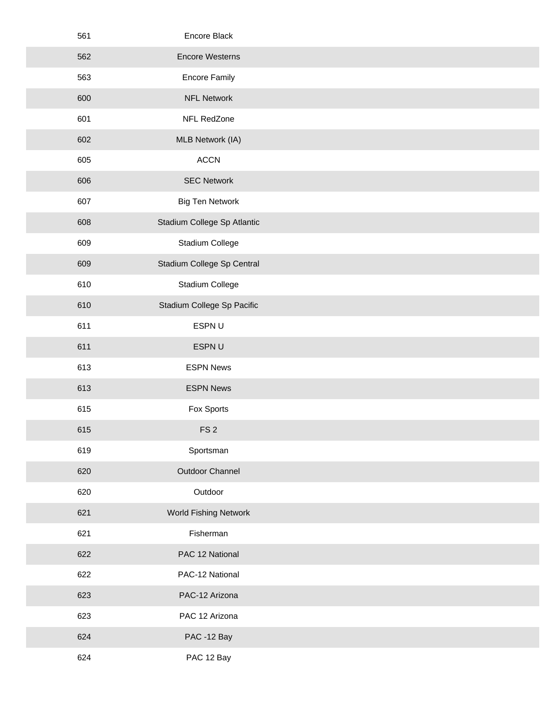| 561 | Encore Black                |  |
|-----|-----------------------------|--|
| 562 | <b>Encore Westerns</b>      |  |
| 563 | <b>Encore Family</b>        |  |
| 600 | <b>NFL Network</b>          |  |
| 601 | NFL RedZone                 |  |
| 602 | MLB Network (IA)            |  |
| 605 | <b>ACCN</b>                 |  |
| 606 | <b>SEC Network</b>          |  |
| 607 | <b>Big Ten Network</b>      |  |
| 608 | Stadium College Sp Atlantic |  |
| 609 | Stadium College             |  |
| 609 | Stadium College Sp Central  |  |
| 610 | Stadium College             |  |
| 610 | Stadium College Sp Pacific  |  |
| 611 | ESPN U                      |  |
| 611 | ESPN U                      |  |
| 613 | <b>ESPN News</b>            |  |
| 613 | <b>ESPN News</b>            |  |
| 615 | Fox Sports                  |  |
| 615 | FS <sub>2</sub>             |  |
| 619 | Sportsman                   |  |
| 620 | Outdoor Channel             |  |
| 620 | Outdoor                     |  |
| 621 | World Fishing Network       |  |
| 621 | Fisherman                   |  |
| 622 | PAC 12 National             |  |
| 622 | PAC-12 National             |  |
| 623 | PAC-12 Arizona              |  |
| 623 | PAC 12 Arizona              |  |
| 624 | PAC -12 Bay                 |  |
| 624 | PAC 12 Bay                  |  |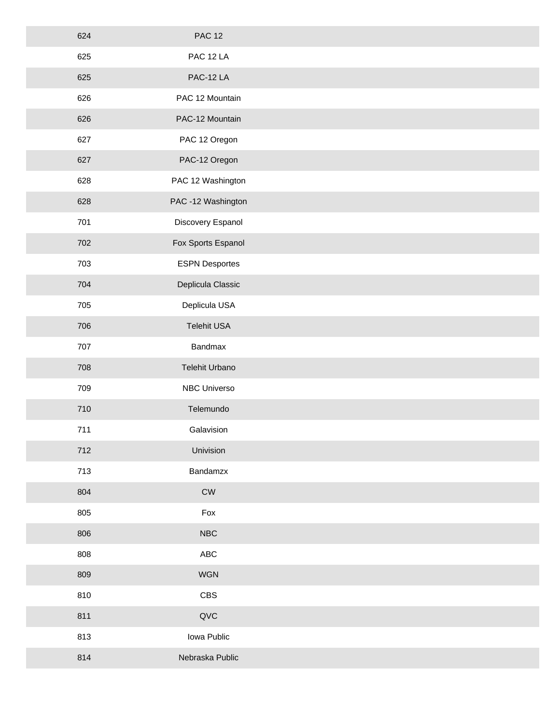| 624 | <b>PAC 12</b>         |
|-----|-----------------------|
| 625 | PAC 12 LA             |
| 625 | PAC-12 LA             |
| 626 | PAC 12 Mountain       |
| 626 | PAC-12 Mountain       |
| 627 | PAC 12 Oregon         |
| 627 | PAC-12 Oregon         |
| 628 | PAC 12 Washington     |
| 628 | PAC -12 Washington    |
| 701 | Discovery Espanol     |
| 702 | Fox Sports Espanol    |
| 703 | <b>ESPN Desportes</b> |
| 704 | Deplicula Classic     |
| 705 | Deplicula USA         |
| 706 | Telehit USA           |
| 707 | Bandmax               |
| 708 | Telehit Urbano        |
| 709 | NBC Universo          |
| 710 | Telemundo             |
| 711 | Galavision            |
| 712 | Univision             |
| 713 | Bandamzx              |
| 804 | ${\sf\small CW}$      |
| 805 | Fox                   |
| 806 | NBC                   |
| 808 | ${\sf ABC}$           |
| 809 | WGN                   |
| 810 | CBS                   |
| 811 | QVC                   |
| 813 | Iowa Public           |
| 814 | Nebraska Public       |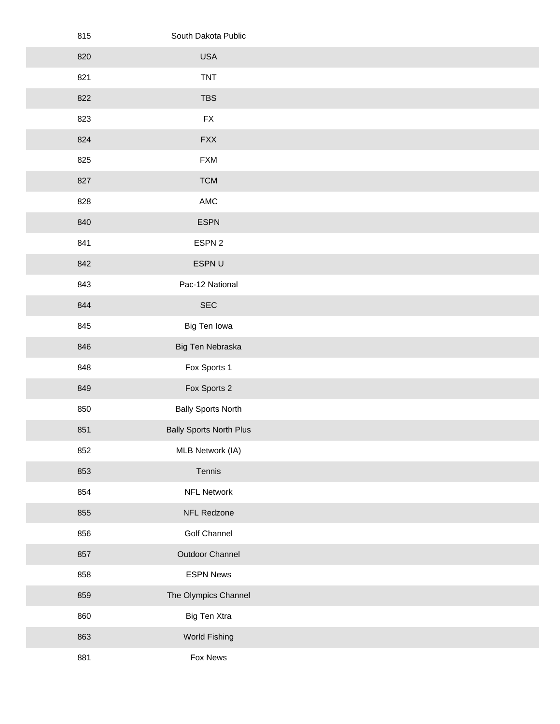| 815 | South Dakota Public            |
|-----|--------------------------------|
| 820 | <b>USA</b>                     |
| 821 | <b>TNT</b>                     |
| 822 | <b>TBS</b>                     |
| 823 | <b>FX</b>                      |
| 824 | <b>FXX</b>                     |
| 825 | <b>FXM</b>                     |
| 827 | <b>TCM</b>                     |
| 828 | AMC                            |
| 840 | <b>ESPN</b>                    |
| 841 | ESPN 2                         |
| 842 | ESPN U                         |
| 843 | Pac-12 National                |
| 844 | $\sf{SEC}$                     |
| 845 | Big Ten Iowa                   |
| 846 | Big Ten Nebraska               |
| 848 | Fox Sports 1                   |
| 849 | Fox Sports 2                   |
| 850 | <b>Bally Sports North</b>      |
| 851 | <b>Bally Sports North Plus</b> |
| 852 | MLB Network (IA)               |
| 853 | Tennis                         |
| 854 | <b>NFL Network</b>             |
| 855 | NFL Redzone                    |
| 856 | Golf Channel                   |
| 857 | Outdoor Channel                |
| 858 | <b>ESPN News</b>               |
| 859 | The Olympics Channel           |
| 860 | Big Ten Xtra                   |
| 863 | World Fishing                  |
| 881 | Fox News                       |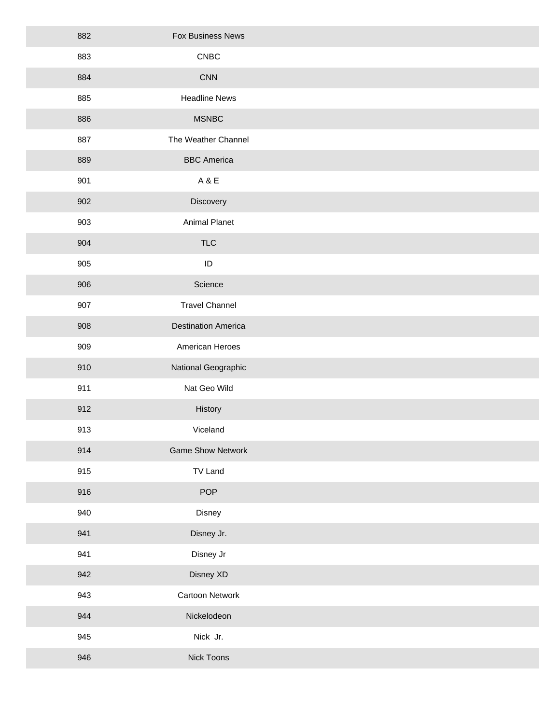| 882 | Fox Business News          |  |
|-----|----------------------------|--|
| 883 | ${\sf CNEC}$               |  |
| 884 | <b>CNN</b>                 |  |
| 885 | <b>Headline News</b>       |  |
| 886 | <b>MSNBC</b>               |  |
| 887 | The Weather Channel        |  |
| 889 | <b>BBC</b> America         |  |
| 901 | A&E                        |  |
| 902 | Discovery                  |  |
| 903 | <b>Animal Planet</b>       |  |
| 904 | <b>TLC</b>                 |  |
| 905 | $\sf ID$                   |  |
| 906 | Science                    |  |
| 907 | <b>Travel Channel</b>      |  |
| 908 | <b>Destination America</b> |  |
| 909 | American Heroes            |  |
| 910 | National Geographic        |  |
| 911 | Nat Geo Wild               |  |
| 912 | History                    |  |
| 913 | Viceland                   |  |
| 914 | <b>Game Show Network</b>   |  |
| 915 | TV Land                    |  |
| 916 | POP                        |  |
| 940 | Disney                     |  |
| 941 | Disney Jr.                 |  |
| 941 | Disney Jr                  |  |
| 942 | Disney XD                  |  |
| 943 | Cartoon Network            |  |
| 944 | Nickelodeon                |  |
| 945 | Nick Jr.                   |  |
| 946 | Nick Toons                 |  |